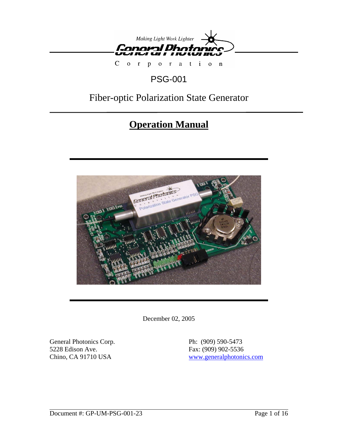

 $C$  o  $r$ por a tion

## PSG-001

## Fiber-optic Polarization State Generator

# **Operation Manual**



December 02, 2005

General Photonics Corp. Ph: (909) 590-5473 5228 Edison Ave. Fax: (909) 902-5536

Chino, CA 91710 USA www.generalphotonics.com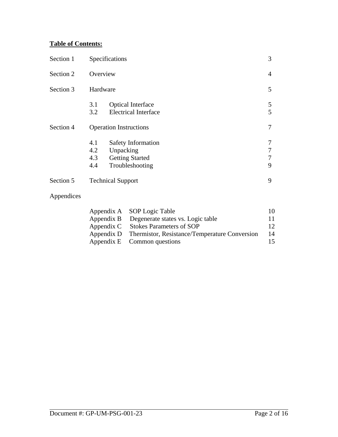## **Table of Contents:**

| Section 1 | Specifications                                                                                                  |                  |  |
|-----------|-----------------------------------------------------------------------------------------------------------------|------------------|--|
| Section 2 | Overview                                                                                                        | 4                |  |
| Section 3 | Hardware                                                                                                        |                  |  |
|           | <b>Optical Interface</b><br>3.1<br><b>Electrical Interface</b><br>3.2                                           | 5<br>5           |  |
| Section 4 | <b>Operation Instructions</b>                                                                                   |                  |  |
|           | 4.1<br><b>Safety Information</b><br>4.2<br>Unpacking<br><b>Getting Started</b><br>4.3<br>Troubleshooting<br>4.4 | 7<br>7<br>7<br>9 |  |
| Section 5 | <b>Technical Support</b>                                                                                        | 9                |  |

## Appendices

| Appendix A SOP Logic Table                               | $10^{\circ}$ |
|----------------------------------------------------------|--------------|
| Appendix B Degenerate states vs. Logic table             |              |
| Appendix C Stokes Parameters of SOP                      |              |
| Appendix D Thermistor, Resistance/Temperature Conversion | 14           |
| Appendix E Common questions                              | 15           |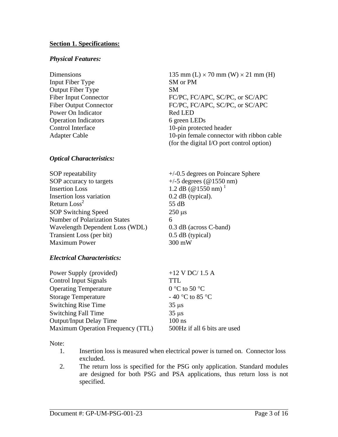### **Section 1. Specifications:**

#### *Physical Features:*

- Input Fiber Type SM or PM Output Fiber Type SM Power On Indicator Red LED Operation Indicators 6 green LEDs
- Dimensions 135 mm (L)  $\times$  70 mm (W)  $\times$  21 mm (H) Fiber Input Connector FC/PC, FC/APC, SC/PC, or SC/APC Fiber Output Connector FC/PC, FC/APC, SC/PC, or SC/APC Control Interface 10-pin protected header Adapter Cable 10-pin female connector with ribbon cable (for the digital I/O port control option)

#### *Optical Characteristics:*

SOP repeatability  $+/-0.5$  degrees on Poincare Sphere SOP accuracy to targets  $+/-5$  degrees (@1550 nm) Insertion Loss 1.2 dB ( $@1550$  nm)<sup>1</sup> Insertion loss variation 0.2 dB (typical). Return  $\text{Loss}^2$ SOP Switching Speed 250 μs Number of Polarization States 6 Wavelength Dependent Loss (WDL) 0.3 dB (across C-band) Transient Loss (per bit) 0.5 dB (typical) Maximum Power 300 mW

55 dB

### *Electrical Characteristics:*

| $+12$ V DC/ 1.5 A            |
|------------------------------|
| TTL                          |
| 0 °C to 50 °C                |
| - 40 °C to 85 °C             |
| $35 \mu s$                   |
| $35 \mu s$                   |
| $100$ ns                     |
| 500Hz if all 6 bits are used |
|                              |

Note:

- 1. Insertion loss is measured when electrical power is turned on. Connector loss excluded.
- 2. The return loss is specified for the PSG only application. Standard modules are designed for both PSG and PSA applications, thus return loss is not specified.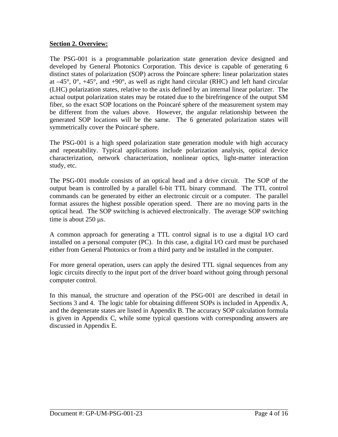## **Section 2. Overview:**

The PSG-001 is a programmable polarization state generation device designed and developed by General Photonics Corporation. This device is capable of generating 6 distinct states of polarization (SOP) across the Poincare sphere: linear polarization states at  $-45^{\circ}$ ,  $0^{\circ}$ ,  $+45^{\circ}$ , and  $+90^{\circ}$ , as well as right hand circular (RHC) and left hand circular (LHC) polarization states, relative to the axis defined by an internal linear polarizer. The actual output polarization states may be rotated due to the birefringence of the output SM fiber, so the exact SOP locations on the Poincaré sphere of the measurement system may be different from the values above. However, the angular relationship between the generated SOP locations will be the same. The 6 generated polarization states will symmetrically cover the Poincaré sphere.

The PSG-001 is a high speed polarization state generation module with high accuracy and repeatability. Typical applications include polarization analysis, optical device characterization, network characterization, nonlinear optics, light-matter interaction study, etc.

The PSG-001 module consists of an optical head and a drive circuit. The SOP of the output beam is controlled by a parallel 6-bit TTL binary command. The TTL control commands can be generated by either an electronic circuit or a computer. The parallel format assures the highest possible operation speed. There are no moving parts in the optical head. The SOP switching is achieved electronically. The average SOP switching time is about 250 μs.

A common approach for generating a TTL control signal is to use a digital I/O card installed on a personal computer (PC). In this case, a digital I/O card must be purchased either from General Photonics or from a third party and be installed in the computer.

For more general operation, users can apply the desired TTL signal sequences from any logic circuits directly to the input port of the driver board without going through personal computer control.

In this manual, the structure and operation of the PSG-001 are described in detail in Sections 3 and 4. The logic table for obtaining different SOPs is included in Appendix A, and the degenerate states are listed in Appendix B. The accuracy SOP calculation formula is given in Appendix C, while some typical questions with corresponding answers are discussed in Appendix E.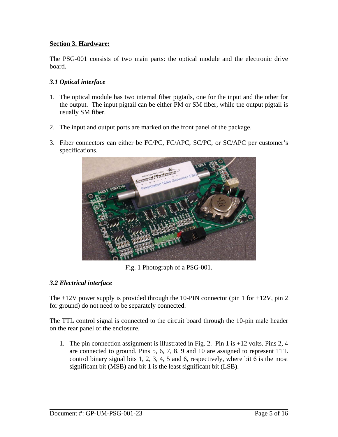## **Section 3. Hardware:**

The PSG-001 consists of two main parts: the optical module and the electronic drive board.

## *3.1 Optical interface*

- 1. The optical module has two internal fiber pigtails, one for the input and the other for the output. The input pigtail can be either PM or SM fiber, while the output pigtail is usually SM fiber.
- 2. The input and output ports are marked on the front panel of the package.
- 3. Fiber connectors can either be FC/PC, FC/APC, SC/PC, or SC/APC per customer's specifications.



Fig. 1 Photograph of a PSG-001.

## *3.2 Electrical interface*

The  $+12V$  power supply is provided through the 10-PIN connector (pin 1 for  $+12V$ , pin 2 for ground) do not need to be separately connected.

The TTL control signal is connected to the circuit board through the 10-pin male header on the rear panel of the enclosure.

1. The pin connection assignment is illustrated in Fig. 2. Pin 1 is +12 volts. Pins 2, 4 are connected to ground. Pins 5, 6, 7, 8, 9 and 10 are assigned to represent TTL control binary signal bits 1, 2, 3, 4, 5 and 6, respectively, where bit 6 is the most significant bit (MSB) and bit 1 is the least significant bit (LSB).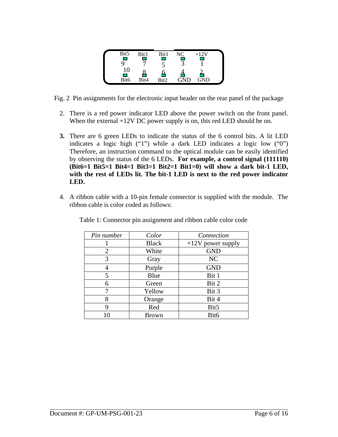| Bit5                   | Bit3 | Bit1 | NC | $+12V$ |  |
|------------------------|------|------|----|--------|--|
| v.                     |      |      |    |        |  |
|                        |      |      |    |        |  |
|                        |      |      |    |        |  |
| <b>Service Service</b> |      |      |    |        |  |
| Bit6                   | Bit4 | Di+∩ |    | GND    |  |

Fig. 2 Pin assignments for the electronic input header on the rear panel of the package

- 2. There is a red power indicator LED above the power switch on the front panel. When the external +12V DC power supply is on, this red LED should be on.
- **3.** There are 6 green LEDs to indicate the status of the 6 control bits. A lit LED indicates a logic high ("1") while a dark LED indicates a logic low ("0") Therefore, an instruction command to the optical module can be easily identified by observing the status of the 6 LEDs. **For example, a control signal (111110) (Bit6=1 Bit5=1 Bit4=1 Bit3=1 Bit2=1 Bit1=0) will show a dark bit-1 LED, with the rest of LEDs lit. The bit-1 LED is next to the red power indicator LED.**
- 4. A ribbon cable with a 10-pin female connector is supplied with the module. The ribbon cable is color coded as follows:

| Pin number     | Color        | Connection          |
|----------------|--------------|---------------------|
|                | <b>Black</b> | $+12V$ power supply |
| $\overline{2}$ | White        | <b>GND</b>          |
| 3              | Gray         | NC                  |
| 4              | Purple       | <b>GND</b>          |
| 5              | Blue         | Bit 1               |
| 6              | Green        | Bit 2               |
| 7              | Yellow       | Bit 3               |
| 8              | Orange       | Bit 4               |
| 9              | Red          | Bit5                |
|                | <b>Brown</b> | Bit6                |

Table 1: Connector pin assignment and ribbon cable color code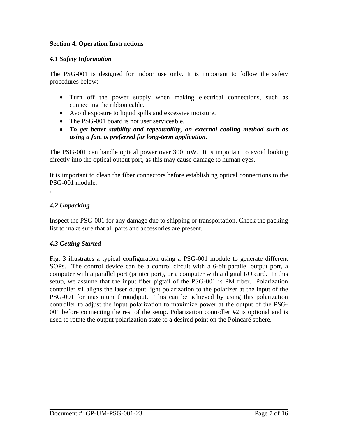## **Section 4. Operation Instructions**

### *4.1 Safety Information*

The PSG-001 is designed for indoor use only. It is important to follow the safety procedures below:

- Turn off the power supply when making electrical connections, such as connecting the ribbon cable.
- Avoid exposure to liquid spills and excessive moisture.
- The PSG-001 board is not user serviceable.
- *To get better stability and repeatability, an external cooling method such as using a fan, is preferred for long-term application.*

The PSG-001 can handle optical power over 300 mW. It is important to avoid looking directly into the optical output port, as this may cause damage to human eyes.

It is important to clean the fiber connectors before establishing optical connections to the PSG-001 module.

## *4.2 Unpacking*

.

Inspect the PSG-001 for any damage due to shipping or transportation. Check the packing list to make sure that all parts and accessories are present.

### *4.3 Getting Started*

Fig. 3 illustrates a typical configuration using a PSG-001 module to generate different SOPs. The control device can be a control circuit with a 6-bit parallel output port, a computer with a parallel port (printer port), or a computer with a digital I/O card. In this setup, we assume that the input fiber pigtail of the PSG-001 is PM fiber. Polarization controller #1 aligns the laser output light polarization to the polarizer at the input of the PSG-001 for maximum throughput. This can be achieved by using this polarization controller to adjust the input polarization to maximize power at the output of the PSG-001 before connecting the rest of the setup. Polarization controller #2 is optional and is used to rotate the output polarization state to a desired point on the Poincaré sphere.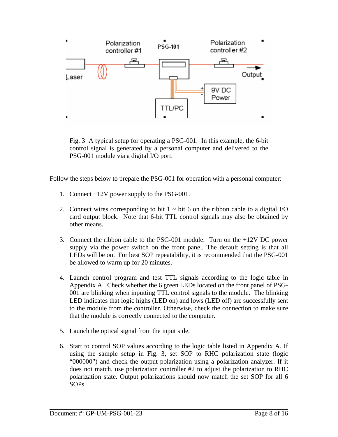

Fig. 3 A typical setup for operating a PSG-001. In this example, the 6-bit control signal is generated by a personal computer and delivered to the PSG-001 module via a digital I/O port.

Follow the steps below to prepare the PSG-001 for operation with a personal computer:

- 1. Connect +12V power supply to the PSG-001.
- 2. Connect wires corresponding to bit  $1 \sim$  bit 6 on the ribbon cable to a digital I/O card output block. Note that 6-bit TTL control signals may also be obtained by other means.
- 3. Connect the ribbon cable to the PSG-001 module. Turn on the +12V DC power supply via the power switch on the front panel. The default setting is that all LEDs will be on. For best SOP repeatability, it is recommended that the PSG-001 be allowed to warm up for 20 minutes.
- 4. Launch control program and test TTL signals according to the logic table in Appendix A. Check whether the 6 green LEDs located on the front panel of PSG-001 are blinking when inputting TTL control signals to the module. The blinking LED indicates that logic highs (LED on) and lows (LED off) are successfully sent to the module from the controller. Otherwise, check the connection to make sure that the module is correctly connected to the computer.
- 5. Launch the optical signal from the input side.
- 6. Start to control SOP values according to the logic table listed in Appendix A. If using the sample setup in Fig. 3, set SOP to RHC polarization state (logic "000000") and check the output polarization using a polarization analyzer. If it does not match, use polarization controller #2 to adjust the polarization to RHC polarization state. Output polarizations should now match the set SOP for all 6 SOPs.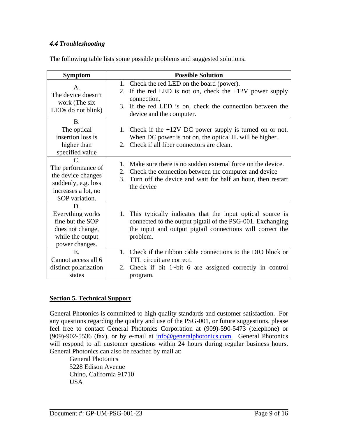## *4.4 Troubleshooting*

The following table lists some possible problems and suggested solutions.

| <b>Symptom</b>                                                                                                            | <b>Possible Solution</b>                                                                                                                                                                                         |
|---------------------------------------------------------------------------------------------------------------------------|------------------------------------------------------------------------------------------------------------------------------------------------------------------------------------------------------------------|
| $\mathsf{A}$ .<br>The device doesn't<br>work (The six<br>LEDs do not blink)                                               | 1. Check the red LED on the board (power).<br>2. If the red LED is not on, check the $+12V$ power supply<br>connection.<br>3. If the red LED is on, check the connection between the<br>device and the computer. |
| <b>B.</b><br>The optical<br>insertion loss is<br>higher than<br>specified value                                           | 1. Check if the $+12V$ DC power supply is turned on or not.<br>When DC power is not on, the optical IL will be higher.<br>2. Check if all fiber connectors are clean.                                            |
| $\mathcal{C}$<br>The performance of<br>the device changes<br>suddenly, e.g. loss<br>increases a lot, no<br>SOP variation. | 1. Make sure there is no sudden external force on the device.<br>Check the connection between the computer and device<br>2.<br>Turn off the device and wait for half an hour, then restart<br>3.<br>the device   |
| D.<br>Everything works<br>fine but the SOP<br>does not change,<br>while the output<br>power changes.                      | 1. This typically indicates that the input optical source is<br>connected to the output pigtail of the PSG-001. Exchanging<br>the input and output pigtail connections will correct the<br>problem.              |
| E.<br>Cannot access all 6<br>distinct polarization<br>states                                                              | 1. Check if the ribbon cable connections to the DIO block or<br>TTL circuit are correct.<br>2. Check if bit $1$ ~bit 6 are assigned correctly in control<br>program.                                             |

## **Section 5. Technical Support**

General Photonics is committed to high quality standards and customer satisfaction. For any questions regarding the quality and use of the PSG-001, or future suggestions, please feel free to contact General Photonics Corporation at (909)-590-5473 (telephone) or (909)-902-5536 (fax), or by e-mail at  $\frac{info@generalphotonics.com}{info@generalcolors.000}$ . General Photonics will respond to all customer questions within 24 hours during regular business hours. General Photonics can also be reached by mail at:

General Photonics 5228 Edison Avenue Chino, California 91710 USA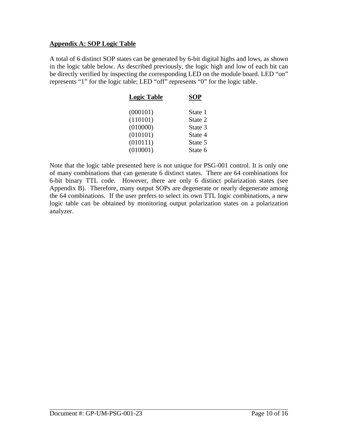### **Appendix A: SOP Logic Table**

A total of 6 distinct SOP states can be generated by 6-bit digital highs and lows, as shown in the logic table below. As described previously, the logic high and low of each bit can be directly verified by inspecting the corresponding LED on the module board. LED "on" represents "1" for the logic table; LED "off" represents "0" for the logic table.

| SOP     |
|---------|
| State 1 |
| State 2 |
| State 3 |
| State 4 |
| State 5 |
| State 6 |
|         |

Note that the logic table presented here is not unique for PSG-001 control. It is only one of many combinations that can generate 6 distinct states. There are 64 combinations for 6-bit binary TTL code. However, there are only 6 distinct polarization states (see Appendix B). Therefore, many output SOPs are degenerate or nearly degenerate among the 64 combinations. If the user prefers to select its own TTL logic combinations, a new logic table can be obtained by monitoring output polarization states on a polarization analyzer.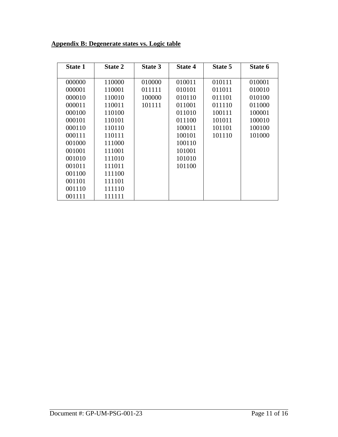## **Appendix B: Degenerate states vs. Logic table**

| <b>State 1</b> | <b>State 2</b> | State 3 | <b>State 4</b> | State 5 | State 6 |
|----------------|----------------|---------|----------------|---------|---------|
|                |                |         |                |         |         |
| 000000         | 110000         | 010000  | 010011         | 010111  | 010001  |
| 000001         | 110001         | 011111  | 010101         | 011011  | 010010  |
| 000010         | 110010         | 100000  | 010110         | 011101  | 010100  |
| 000011         | 110011         | 101111  | 011001         | 011110  | 011000  |
| 000100         | 110100         |         | 011010         | 100111  | 100001  |
| 000101         | 110101         |         | 011100         | 101011  | 100010  |
| 000110         | 110110         |         | 100011         | 101101  | 100100  |
| 000111         | 110111         |         | 100101         | 101110  | 101000  |
| 001000         | 111000         |         | 100110         |         |         |
| 001001         | 111001         |         | 101001         |         |         |
| 001010         | 111010         |         | 101010         |         |         |
| 001011         | 111011         |         | 101100         |         |         |
| 001100         | 111100         |         |                |         |         |
| 001101         | 111101         |         |                |         |         |
| 001110         | 111110         |         |                |         |         |
| 001111         | 111111         |         |                |         |         |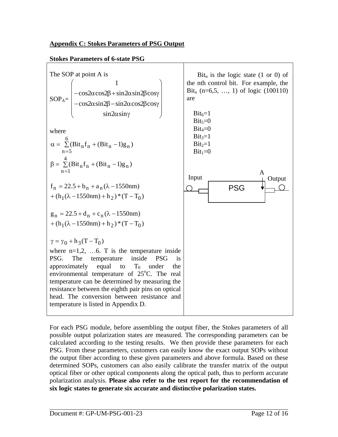## **Appendix C: Stokes Parameters of PSG Output**

#### **Stokes Parameters of 6-state PSG**



For each PSG module, before assembling the output fiber, the Stokes parameters of all possible output polarization states are measured. The corresponding parameters can be calculated according to the testing results. We then provide these parameters for each PSG. From these parameters, customers can easily know the exact output SOPs without the output fiber according to these given parameters and above formula. Based on these determined SOPs, customers can also easily calibrate the transfer matrix of the output optical fiber or other optical components along the optical path, thus to perform accurate polarization analysis. **Please also refer to the test report for the recommendation of six logic states to generate six accurate and distinctive polarization states.**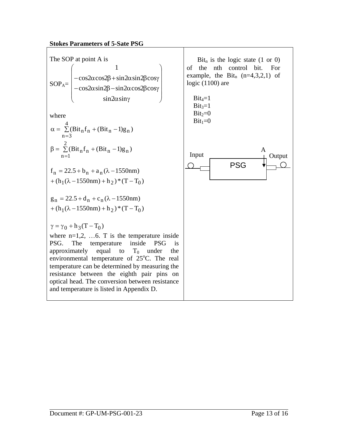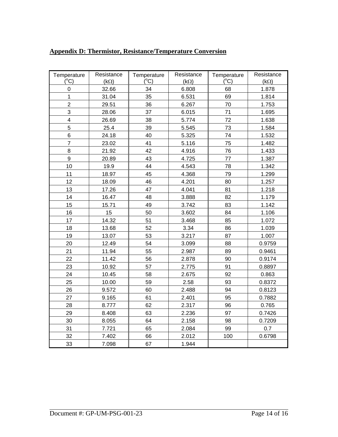| Temperature<br>$(^{\circ}C)$ | Resistance<br>$(k\Omega)$ | Temperature<br>$(C^{\circ}C)$ | Resistance<br>$(k\Omega)$ | Temperature<br>$(^{\circ}C)$ | Resistance<br>$(k\Omega)$ |
|------------------------------|---------------------------|-------------------------------|---------------------------|------------------------------|---------------------------|
| $\mathbf 0$                  | 32.66                     | 34                            | 6.808                     | 68                           | 1.878                     |
| $\mathbf{1}$                 | 31.04                     | 35                            | 6.531                     | 69                           | 1.814                     |
| $\overline{c}$               | 29.51                     | 36                            | 6.267                     | 70                           | 1.753                     |
| 3                            | 28.06                     | 37                            | 6.015                     | 71                           | 1.695                     |
| $\overline{\mathbf{4}}$      | 26.69                     | 38                            | 5.774                     | 72                           | 1.638                     |
| 5                            | 25.4                      | 39                            | 5.545                     | 73                           | 1.584                     |
| 6                            | 24.18                     | 40                            | 5.325                     | 74                           | 1.532                     |
| $\overline{7}$               | 23.02                     | 41                            | 5.116                     | 75                           | 1.482                     |
| $\overline{8}$               | 21.92                     | 42                            | 4.916                     | 76                           | 1.433                     |
| 9                            | 20.89                     | 43                            | 4.725                     | 77                           | 1.387                     |
| 10                           | 19.9                      | 44                            | 4.543                     | 78                           | 1.342                     |
| 11                           | 18.97                     | 45                            | 4.368                     | 79                           | 1.299                     |
| 12                           | 18.09                     | 46                            | 4.201                     | 80                           | 1.257                     |
| 13                           | 17.26                     | 47                            | 4.041                     | 81                           | 1.218                     |
| 14                           | 16.47                     | 48                            | 3.888                     | 82                           | 1.179                     |
| 15                           | 15.71                     | 49                            | 3.742                     | 83                           | 1.142                     |
| 16                           | 15                        | 50                            | 3.602                     | 84                           | 1.106                     |
| 17                           | 14.32                     | 51                            | 3.468                     | 85                           | 1.072                     |
| 18                           | 13.68                     | 52                            | 3.34                      | 86                           | 1.039                     |
| 19                           | 13.07                     | 53                            | 3.217                     | 87                           | 1.007                     |
| 20                           | 12.49                     | 54                            | 3.099                     | 88                           | 0.9759                    |
| 21                           | 11.94                     | 55                            | 2.987                     | 89                           | 0.9461                    |
| 22                           | 11.42                     | 56                            | 2.878                     | 90                           | 0.9174                    |
| 23                           | 10.92                     | 57                            | 2.775                     | 91                           | 0.8897                    |
| 24                           | 10.45                     | 58                            | 2.675                     | 92                           | 0.863                     |
| 25                           | 10.00                     | 59                            | 2.58                      | 93                           | 0.8372                    |
| 26                           | 9.572                     | 60                            | 2.488                     | 94                           | 0.8123                    |
| 27                           | 9.165                     | 61                            | 2.401                     | 95                           | 0.7882                    |
| 28                           | 8.777                     | 62                            | 2.317                     | 96                           | 0.765                     |
| 29                           | 8.408                     | 63                            | 2.236                     | 97                           | 0.7426                    |
| 30                           | 8.055                     | 64                            | 2.158                     | 98                           | 0.7209                    |
| 31                           | 7.721                     | 65                            | 2.084                     | 99                           | 0.7                       |
| 32                           | 7.402                     | 66                            | 2.012                     | 100                          | 0.6798                    |
| 33                           | 7.098                     | 67                            | 1.944                     |                              |                           |

## **Appendix D: Thermistor, Resistance/Temperature Conversion**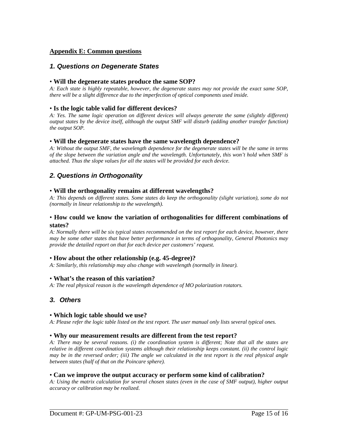#### **Appendix E: Common questions**

#### *1. Questions on Degenerate States*

#### • **Will the degenerate states produce the same SOP?**

*A: Each state is highly repeatable, however, the degenerate states may not provide the exact same SOP, there will be a slight difference due to the imperfection of optical components used inside.* 

#### • **Is the logic table valid for different devices?**

*A: Yes. The same logic operation on different devices will always generate the same (slightly different) output states by the device itself, although the output SMF will disturb (adding another transfer function) the output SOP.* 

#### • **Will the degenerate states have the same wavelength dependence?**

*A: Without the output SMF, the wavelength dependence for the degenerate states will be the same in terms of the slope between the variation angle and the wavelength. Unfortunately, this won't hold when SMF is attached. Thus the slope values for all the states will be provided for each device.* 

## *2. Questions in Orthogonality*

#### • **Will the orthogonality remains at different wavelengths?**

*A: This depends on different states. Some states do keep the orthogonality (slight variation), some do not (normally in linear relationship to the wavelength).* 

#### • **How could we know the variation of orthogonalities for different combinations of states?**

*A: Normally there will be six typical states recommended on the test report for each device, however, there may be some other states that have better performance in terms of orthogonality, General Photonics may provide the detailed report on that for each device per customers' request.* 

#### • **How about the other relationship (e.g. 45-degree)?**

*A: Similarly, this relationship may also change with wavelength (normally in linear).* 

#### • **What's the reason of this variation?**

*A: The real physical reason is the wavelength dependence of MO polarization rotators.* 

### *3. Others*

#### • **Which logic table should we use?**

*A: Please refer the logic table listed on the test report. The user manual only lists several typical ones.* 

#### • **Why our measurement results are different from the test report?**

*A: There may be several reasons. (i) the coordination system is different; Note that all the states are relative in different coordination systems although their relationship keeps constant. (ii) the control logic may be in the reversed order; (iii) The angle we calculated in the test report is the real physical angle between states (half of that on the Poincare sphere).* 

#### • **Can we improve the output accuracy or perform some kind of calibration?**

*A: Using the matrix calculation for several chosen states (even in the case of SMF output), higher output accuracy or calibration may be realized.*